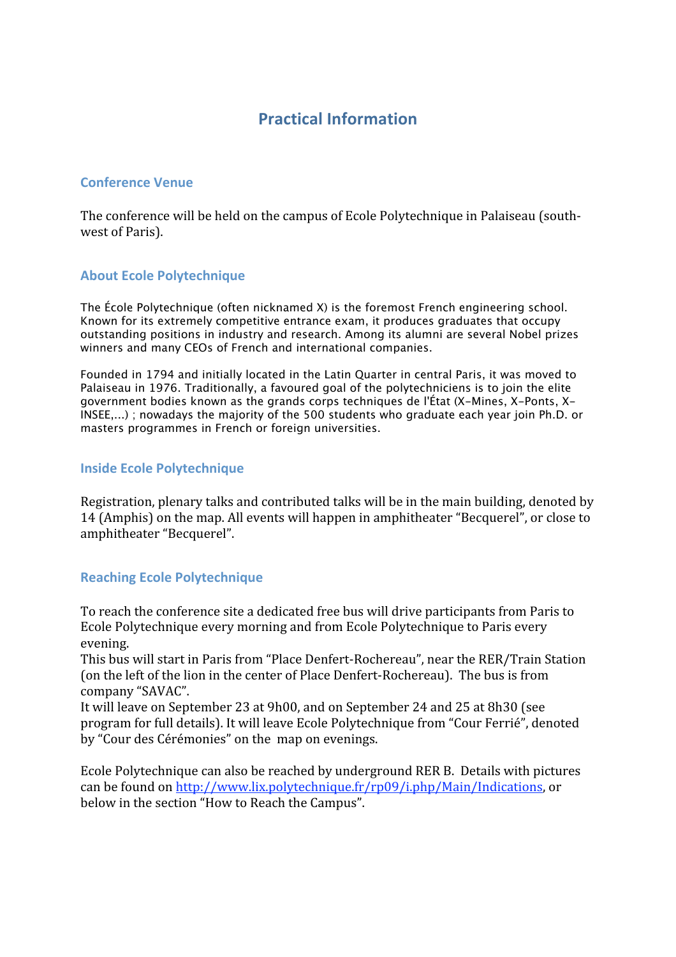# **Practical
Information**

# **Conference
Venue**

The conference will be held on the campus of Ecole Polytechnique in Palaiseau (southwest
of
Paris).

# **About
Ecole
Polytechnique**

The École Polytechnique (often nicknamed X) is the foremost French engineering school. Known for its extremely competitive entrance exam, it produces graduates that occupy outstanding positions in industry and research. Among its alumni are several Nobel prizes winners and many CEOs of French and international companies.

Founded in 1794 and initially located in the Latin Quarter in central Paris, it was moved to Palaiseau in 1976. Traditionally, a favoured goal of the polytechniciens is to join the elite government bodies known as the grands corps techniques de l'État (X-Mines, X-Ponts, X-INSEE,...) ; nowadays the majority of the 500 students who graduate each year join Ph.D. or masters programmes in French or foreign universities.

# **Inside
Ecole
Polytechnique**

Registration,
plenary
talks
and
contributed
talks
will
be
in
the
main
building,
denoted
by 14
(Amphis)
on
the
map.
All
events
will
happen
in
amphitheater
"Becquerel",
or
close
to amphitheater
"Becquerel".

# **Reaching
Ecole
Polytechnique**

To
reach
the
conference
site
a
dedicated
free
bus
will
drive
participants
from
Paris
to Ecole Polytechnique every morning and from Ecole Polytechnique to Paris every evening.

This
bus
will
start
in
Paris
from
"Place
Denfert‐Rochereau",
near
the
RER/Train
Station (on the left of the lion in the center of Place Denfert-Rochereau). The bus is from company
"SAVAC".

It
will
leave on
September
23
at
9h00,
and
on
September
24
and
25
at
8h30
(see program
for
full
details).
It
will
leave
Ecole
Polytechnique
from
"Cour
Ferrié",
denoted by
"Cour
des
Cérémonies"
on
the

map
on
evenings.

Ecole
Polytechnique
can
also
be
reached
by
underground
RER
B.

Details
with
pictures can
be
found
on
http://www.lix.polytechnique.fr/rp09/i.php/Main/Indications,
or below
in
the
section
"How
to
Reach
the
Campus".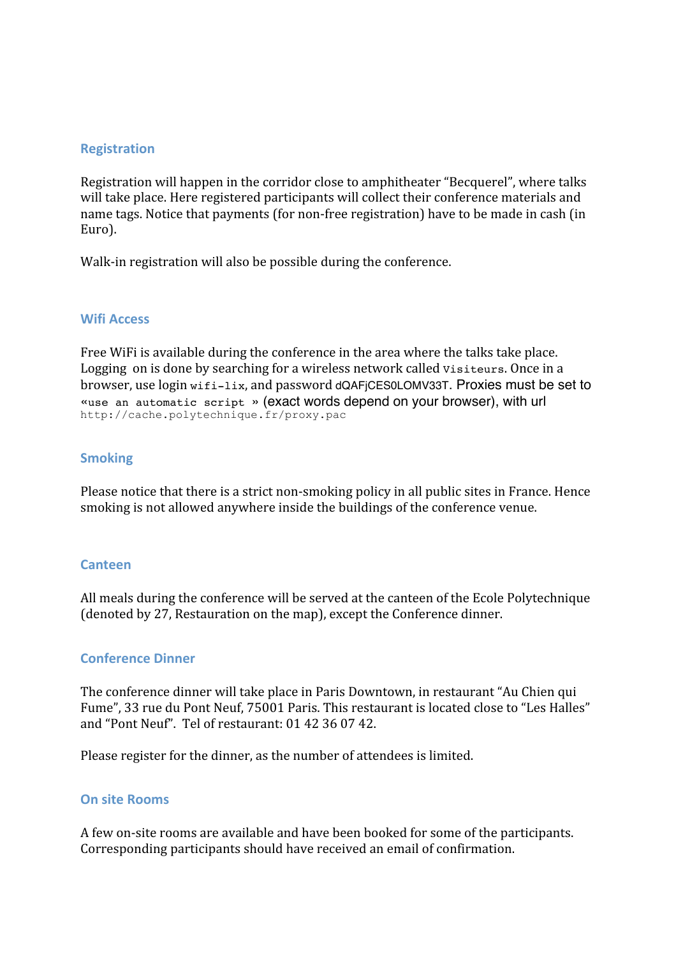### **Registration**

Registration will happen in the corridor close to amphitheater "Becquerel", where talks will take place. Here registered participants will collect their conference materials and name
tags.
Notice
that
payments
(for
non‐free
registration)
have
to
be
made
in
cash
(in Euro).

Walk-in registration will also be possible during the conference.

#### **Wifi
Access**

Free WiFi is available during the conference in the area where the talks take place. Logging on is done by searching for a wireless network called visiteurs. Once in a browser,
use
login wifi-lix,
and
password dQAFjCES0LOMV33T. Proxies must be set to «use an automatic script » (exact words depend on your browser), with url http://cache.polytechnique.fr/proxy.pac

#### **Smoking**

Please notice that there is a strict non-smoking policy in all public sites in France. Hence smoking
is
not
allowed
anywhere
inside
the
buildings
of
the
conference
venue.

#### **Canteen**

All
meals
during
the
conference
will
be
served
at
the
canteen
of
the
Ecole
Polytechnique (denoted
by 27,
Restauration
on
the
map),
except
the
Conference
dinner.

#### **Conference
Dinner**

The
conference
dinner
will
take
place
in
Paris
Downtown,
in
restaurant
"Au
Chien
qui Fume", 33 rue du Pont Neuf, 75001 Paris. This restaurant is located close to "Les Halles" and
"Pont
Neuf".

Tel
of
restaurant:
01
42
36
07
42.

Please
register
for
the
dinner,
as
the
number
of
attendees
is
limited.

#### **On
site
Rooms**

A
few
on‐site
rooms
are
available
and
have
been
booked
for
some
of
the
participants. Corresponding
participants
should
have
received
an
email
of
confirmation.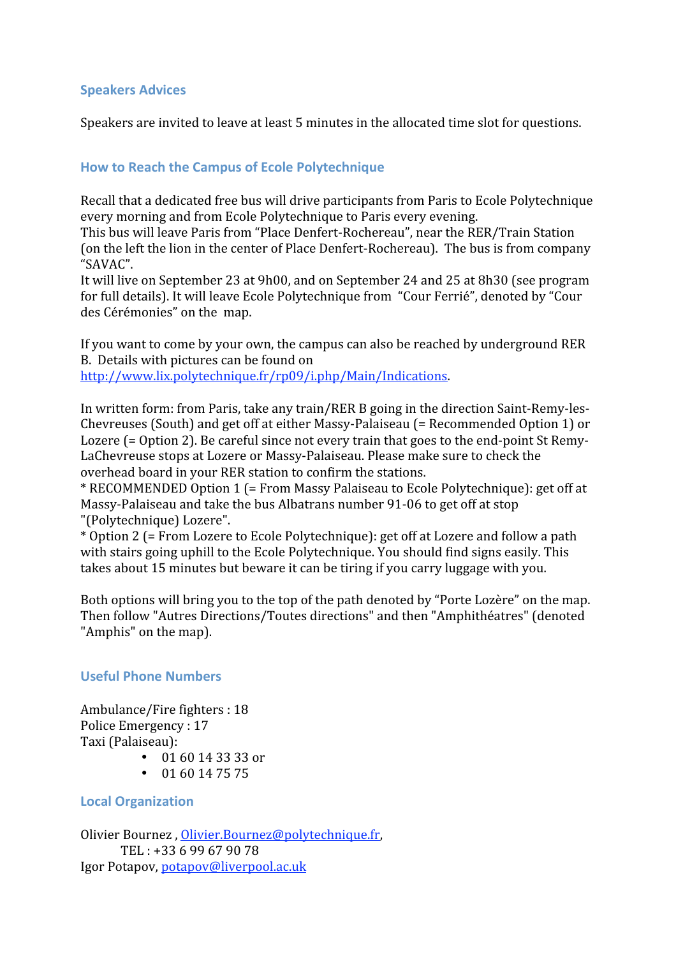# **Speakers
Advices**

Speakers are invited to leave at least 5 minutes in the allocated time slot for questions.

# **How
to
Reach
the
Campus
of
Ecole
Polytechnique**

Recall
that
a
dedicated
free
bus
will
drive
participants
from
Paris
to
Ecole
Polytechnique every
morning
and
from
Ecole
Polytechnique
to
Paris
every
evening.

This
bus
will
leave
Paris
from
"Place
Denfert‐Rochereau",
near
the
RER/Train
Station (on
the
left
the
lion
in
the
center
of
Place
Denfert‐Rochereau).

The
bus
is
from
company "SAVAC".

It will live on September 23 at 9h00, and on September 24 and 25 at 8h30 (see program for full details). It will leave Ecole Polytechnique from "Cour Ferrié", denoted by "Cour des
Cérémonies"
on
the

map.

If
you
want
to
come
by
your
own,
the
campus
can
also
be
reached
by
underground
RER B.

Details
with
pictures
can
be
found
on http://www.lix.polytechnique.fr/rp09/i.php/Main/Indications.

In
written
form: from
Paris,
take
any
train/RER
B
going
in
the
direction
Saint‐Remy‐les‐ Chevreuses
(South)
and
get
off
at
either
Massy‐Palaiseau
(=
Recommended
Option
1)
or Lozere (= Option 2). Be careful since not every train that goes to the end-point St Remy-LaChevreuse stops at Lozere or Massy-Palaiseau. Please make sure to check the overhead
board
in
your
RER
station
to
confirm
the
stations.

\* RECOMMENDED Option 1 (= From Massy Palaiseau to Ecole Polytechnique): get off at Massy-Palaiseau and take the bus Albatrans number 91-06 to get off at stop "(Polytechnique)
Lozere".

\*
Option
2
(=
From
Lozere
to
Ecole
Polytechnique):
get
off
at
Lozere
and
follow
a
path with stairs going uphill to the Ecole Polytechnique. You should find signs easily. This takes about 15 minutes but beware it can be tiring if you carry luggage with you.

Both options will bring you to the top of the path denoted by "Porte Lozère" on the map. Then
follow
"Autres
Directions/Toutes
directions"
and
then
"Amphithéatres"
(denoted "Amphis" on the map).

# **Useful
Phone
Numbers**

Ambulance/Fire
fighters :
18 Police
Emergency : 17 Taxi (Palaiseau):

- $\cdot$  01 60 14 33 33 or
- $\cdot$  01 60 14 75 75

# **Local
Organization**

Olivier Bournez, Olivier.Bournez@polytechnique.fr, TEL :
+33
6
99
67
90
78 Igor
Potapov,
potapov@liverpool.ac.uk